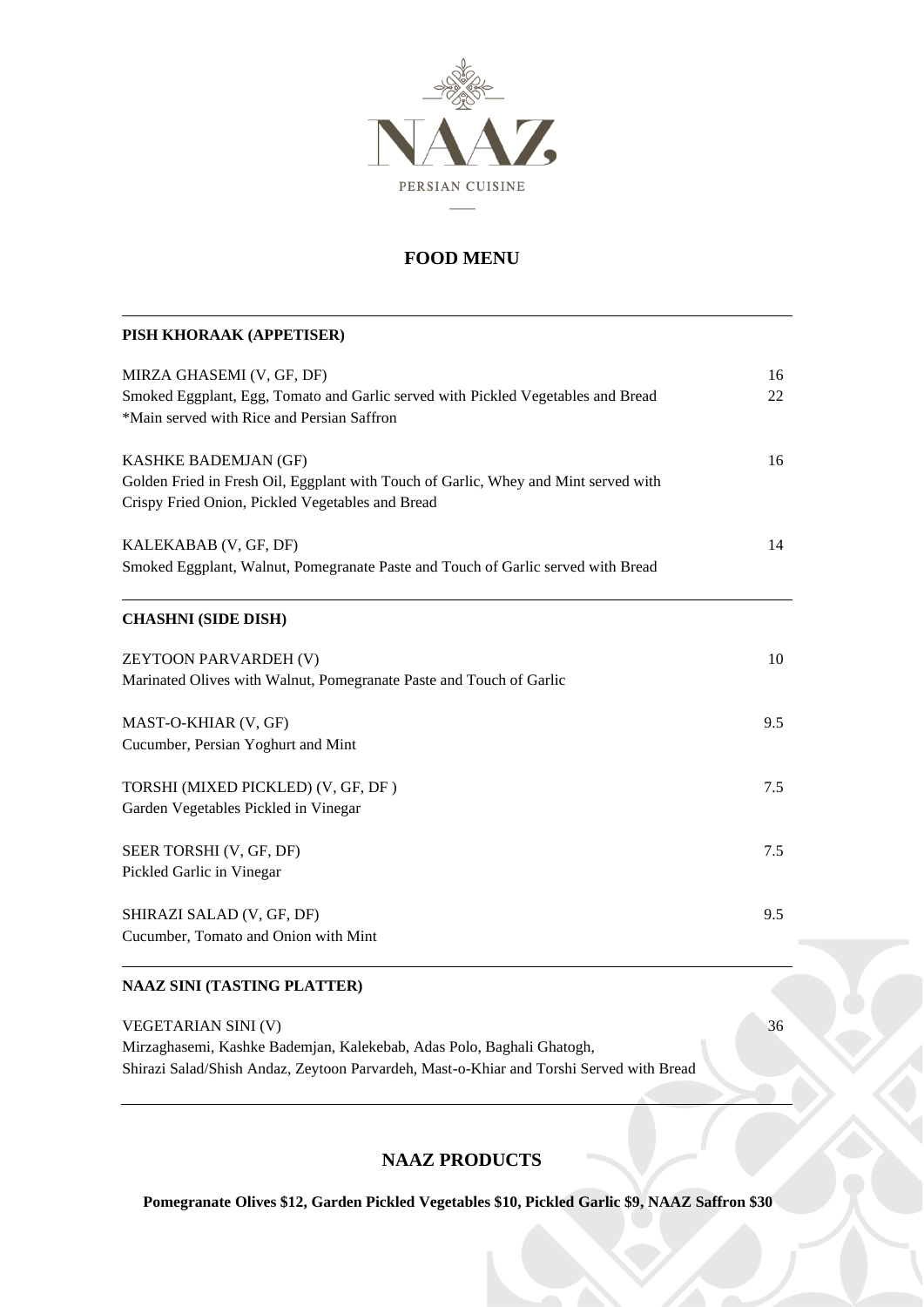

| PISH KHORAAK (APPETISER)                                                                                                                                        |          |
|-----------------------------------------------------------------------------------------------------------------------------------------------------------------|----------|
| MIRZA GHASEMI (V, GF, DF)<br>Smoked Eggplant, Egg, Tomato and Garlic served with Pickled Vegetables and Bread<br>*Main served with Rice and Persian Saffron     | 16<br>22 |
|                                                                                                                                                                 |          |
| KASHKE BADEMJAN (GF)<br>Golden Fried in Fresh Oil, Eggplant with Touch of Garlic, Whey and Mint served with<br>Crispy Fried Onion, Pickled Vegetables and Bread | 16       |
| KALEKABAB (V, GF, DF)<br>Smoked Eggplant, Walnut, Pomegranate Paste and Touch of Garlic served with Bread                                                       | 14       |
| <b>CHASHNI (SIDE DISH)</b>                                                                                                                                      |          |
| ZEYTOON PARVARDEH (V)                                                                                                                                           | 10       |
| Marinated Olives with Walnut, Pomegranate Paste and Touch of Garlic                                                                                             |          |
| MAST-O-KHIAR (V, GF)                                                                                                                                            | 9.5      |
| Cucumber, Persian Yoghurt and Mint                                                                                                                              |          |
| TORSHI (MIXED PICKLED) (V, GF, DF)                                                                                                                              | 7.5      |
| Garden Vegetables Pickled in Vinegar                                                                                                                            |          |
| SEER TORSHI (V, GF, DF)                                                                                                                                         | 7.5      |
| Pickled Garlic in Vinegar                                                                                                                                       |          |
| SHIRAZI SALAD (V, GF, DF)                                                                                                                                       | 9.5      |
| Cucumber, Tomato and Onion with Mint                                                                                                                            |          |
| <b>NAAZ SINI (TASTING PLATTER)</b>                                                                                                                              |          |
| VEGETARIAN SINI (V)                                                                                                                                             | 36       |
| Mirzaghasemi, Kashke Bademjan, Kalekebab, Adas Polo, Baghali Ghatogh,                                                                                           |          |

Shirazi Salad/Shish Andaz, Zeytoon Parvardeh, Mast-o-Khiar and Torshi Served with Bread

### **NAAZ PRODUCTS**

**Pomegranate Olives \$12, Garden Pickled Vegetables \$10, Pickled Garlic \$9, NAAZ Saffron \$30**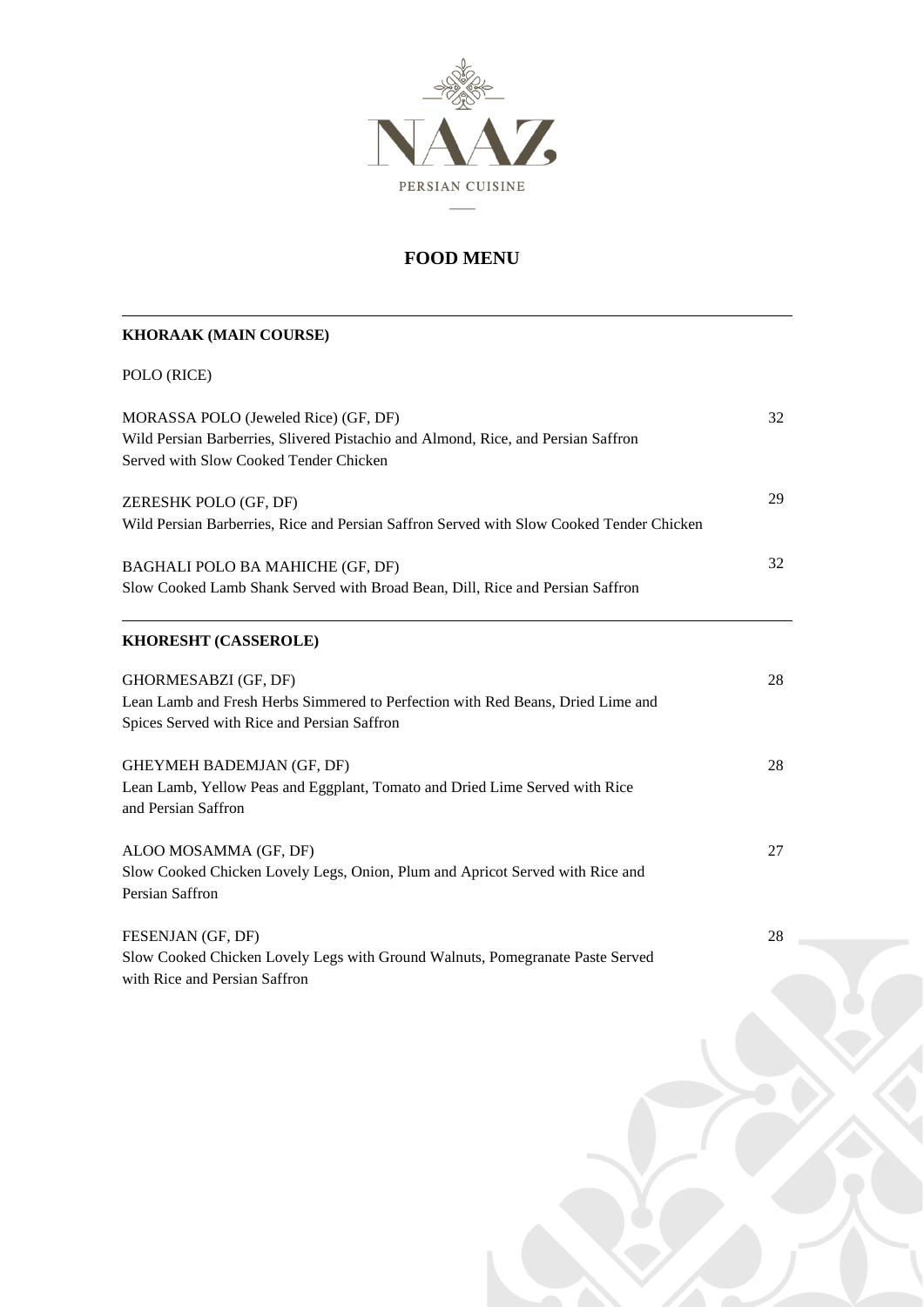

# **KHORAAK (MAIN COURSE)**

|  | POLO (RICE) |
|--|-------------|
|--|-------------|

| MORASSA POLO (Jeweled Rice) (GF, DF)<br>Wild Persian Barberries, Slivered Pistachio and Almond, Rice, and Persian Saffron<br>Served with Slow Cooked Tender Chicken | 32 |
|---------------------------------------------------------------------------------------------------------------------------------------------------------------------|----|
| ZERESHK POLO (GF, DF)<br>Wild Persian Barberries, Rice and Persian Saffron Served with Slow Cooked Tender Chicken                                                   | 29 |
| BAGHALI POLO BA MAHICHE (GF, DF)<br>Slow Cooked Lamb Shank Served with Broad Bean, Dill, Rice and Persian Saffron                                                   | 32 |
| KHORESHT (CASSEROLE)                                                                                                                                                |    |
| GHORMESABZI (GF, DF)<br>Lean Lamb and Fresh Herbs Simmered to Perfection with Red Beans, Dried Lime and<br>Spices Served with Rice and Persian Saffron              | 28 |
| GHEYMEH BADEMJAN (GF, DF)<br>Lean Lamb, Yellow Peas and Eggplant, Tomato and Dried Lime Served with Rice<br>and Persian Saffron                                     | 28 |
| ALOO MOSAMMA (GF, DF)<br>Slow Cooked Chicken Lovely Legs, Onion, Plum and Apricot Served with Rice and<br>Persian Saffron                                           | 27 |
| FESENJAN (GF, DF)<br>Slow Cooked Chicken Lovely Legs with Ground Walnuts, Pomegranate Paste Served                                                                  | 28 |

with Rice and Persian Saffron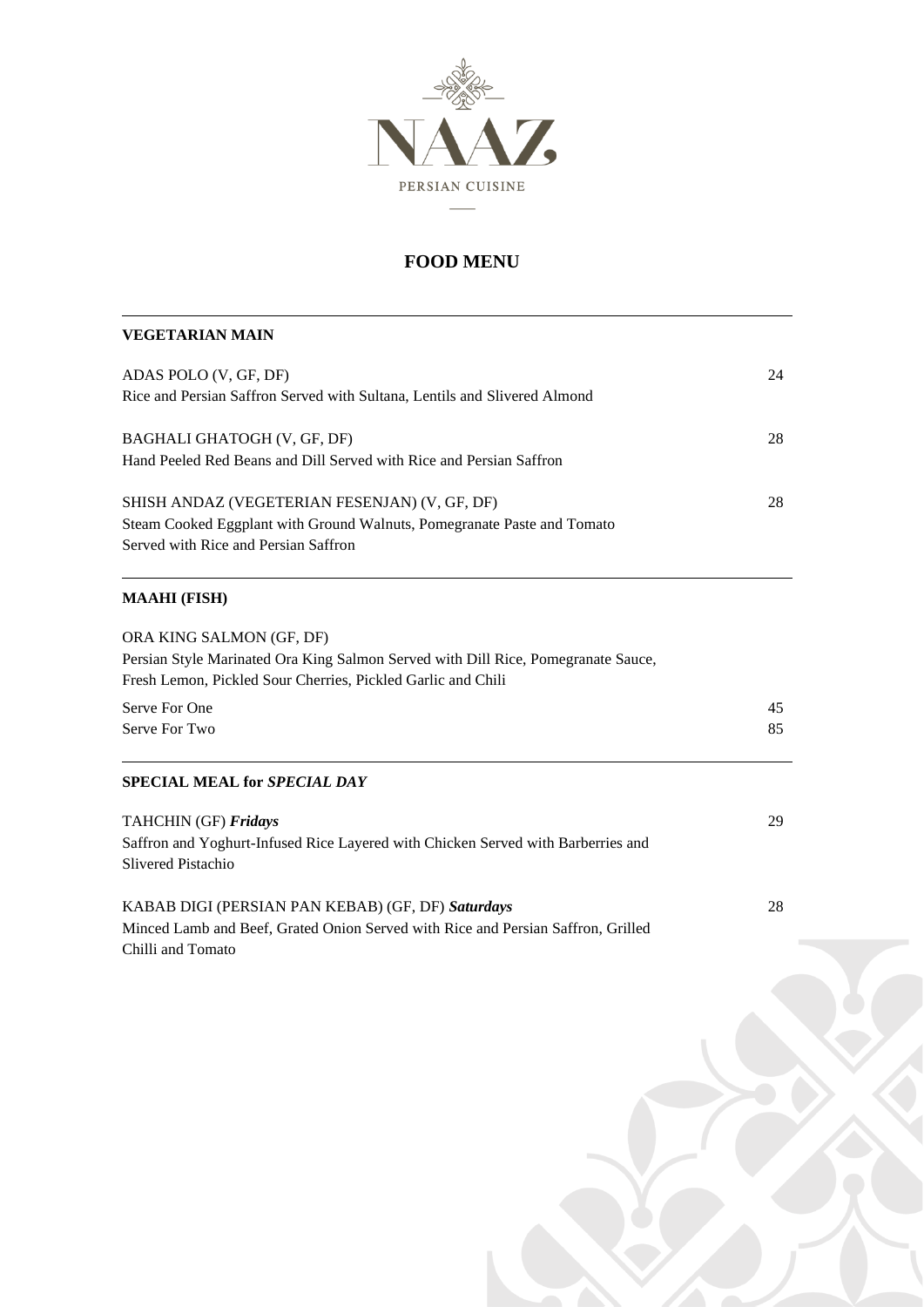

#### **VEGETARIAN MAIN**

| ADAS POLO (V, GF, DF)<br>Rice and Persian Saffron Served with Sultana, Lentils and Slivered Almond                                                               | 24 |
|------------------------------------------------------------------------------------------------------------------------------------------------------------------|----|
| BAGHALI GHATOGH (V, GF, DF)<br>Hand Peeled Red Beans and Dill Served with Rice and Persian Saffron                                                               | 28 |
| SHISH ANDAZ (VEGETERIAN FESENJAN) (V, GF, DF)<br>Steam Cooked Eggplant with Ground Walnuts, Pomegranate Paste and Tomato<br>Served with Rice and Persian Saffron | 28 |

### **MAAHI (FISH)**

| ORA KING SALMON (GF, DF)<br>Persian Style Marinated Ora King Salmon Served with Dill Rice, Pomegranate Sauce, |    |
|---------------------------------------------------------------------------------------------------------------|----|
| Fresh Lemon, Pickled Sour Cherries, Pickled Garlic and Chili                                                  |    |
| Serve For One                                                                                                 | 45 |
| Serve For Two                                                                                                 | 85 |
| <b>SPECIAL MEAL for SPECIAL DAY</b>                                                                           |    |

| <b>TAHCHIN</b> (GF) <b>Fridays</b>                                               | 29 |
|----------------------------------------------------------------------------------|----|
| Saffron and Yoghurt-Infused Rice Layered with Chicken Served with Barberries and |    |
| Slivered Pistachio                                                               |    |
|                                                                                  |    |
| KABAB DIGI (PERSIAN PAN KEBAB) (GF, DF) Saturdays                                | 28 |

Minced Lamb and Beef, Grated Onion Served with Rice and Persian Saffron, Grilled Chilli and Tomato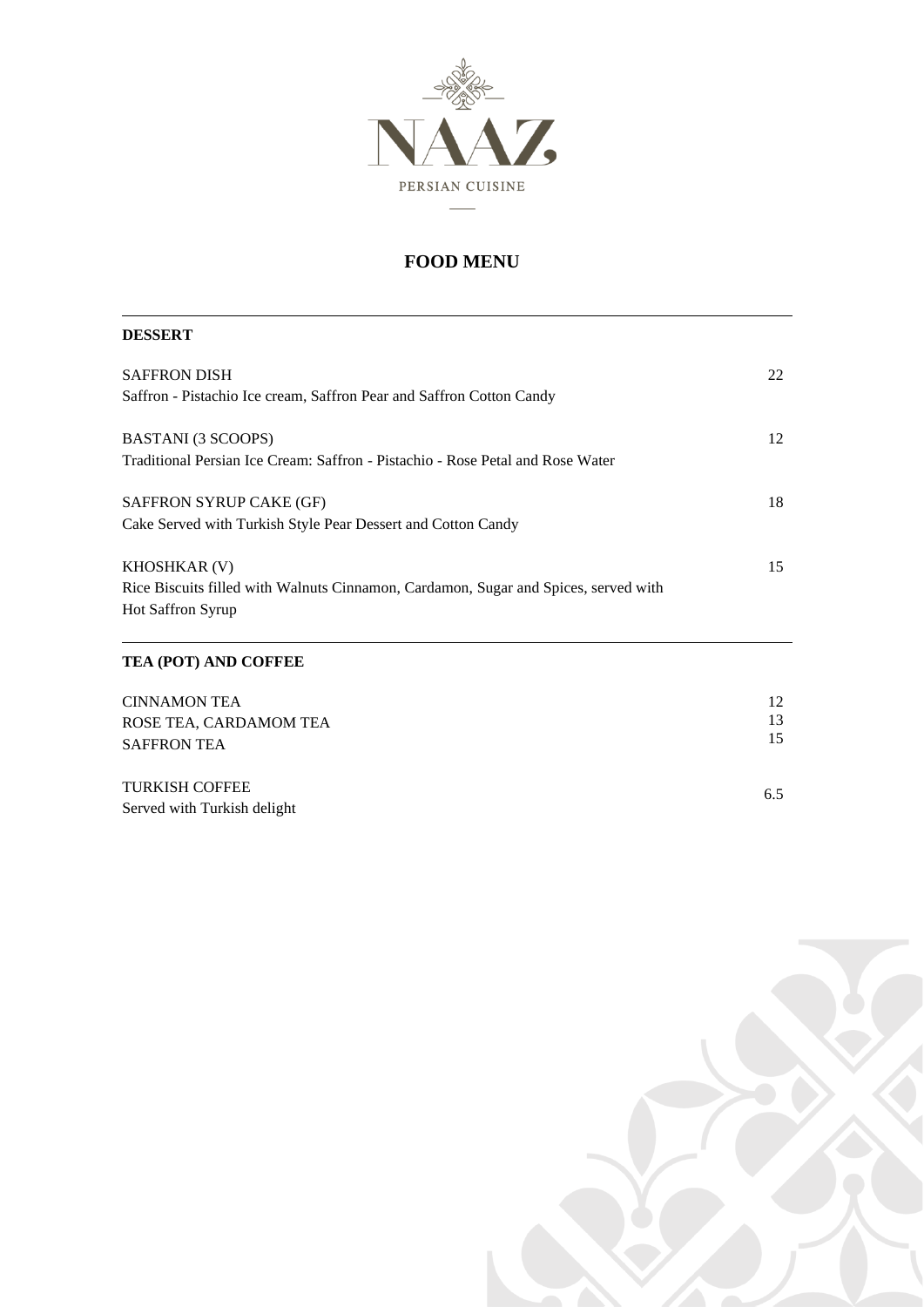

| <b>DESSERT</b>                                                                      |    |
|-------------------------------------------------------------------------------------|----|
| <b>SAFFRON DISH</b>                                                                 | 22 |
| Saffron - Pistachio Ice cream, Saffron Pear and Saffron Cotton Candy                |    |
| BASTANI (3 SCOOPS)                                                                  | 12 |
| Traditional Persian Ice Cream: Saffron - Pistachio - Rose Petal and Rose Water      |    |
| SAFFRON SYRUP CAKE (GF)                                                             | 18 |
| Cake Served with Turkish Style Pear Dessert and Cotton Candy                        |    |
| <b>KHOSHKAR (V)</b>                                                                 | 15 |
| Rice Biscuits filled with Walnuts Cinnamon, Cardamon, Sugar and Spices, served with |    |
| Hot Saffron Syrup                                                                   |    |
| TEA (POT) AND COFFEE                                                                |    |
| <b>CINNAMON TEA</b>                                                                 | 12 |
| ROSE TEA, CARDAMOM TEA                                                              | 13 |
| <b>SAFFRON TEA</b>                                                                  | 15 |

TURKISH COFFEE Served with Turkish delight



6.5